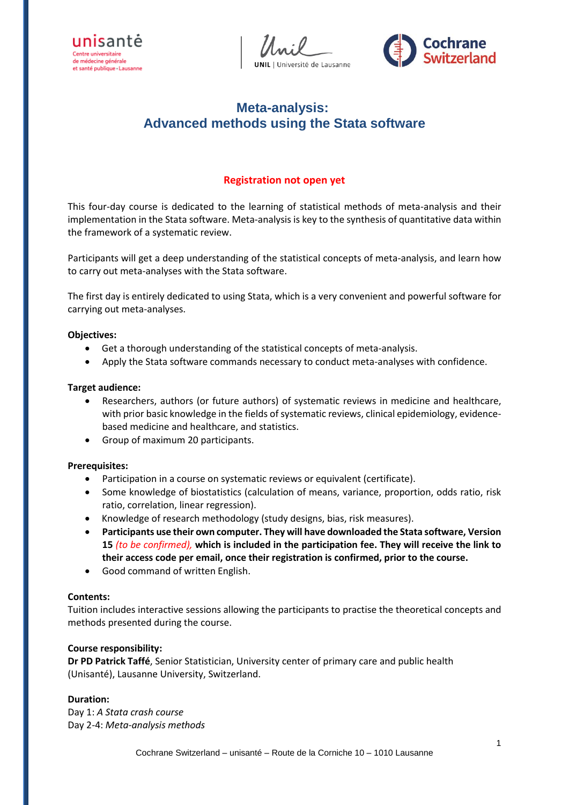



# **Meta-analysis: Advanced methods using the Stata software**

# **Registration not open yet**

This four-day course is dedicated to the learning of statistical methods of meta-analysis and their implementation in the Stata software. Meta-analysis is key to the synthesis of quantitative data within the framework of a systematic review.

Participants will get a deep understanding of the statistical concepts of meta-analysis, and learn how to carry out meta-analyses with the Stata software.

The first day is entirely dedicated to using Stata, which is a very convenient and powerful software for carrying out meta-analyses.

#### **Objectives:**

- Get a thorough understanding of the statistical concepts of meta-analysis.
- Apply the Stata software commands necessary to conduct meta-analyses with confidence.

#### **Target audience:**

- Researchers, authors (or future authors) of systematic reviews in medicine and healthcare, with prior basic knowledge in the fields of systematic reviews, clinical epidemiology, evidencebased medicine and healthcare, and statistics.
- Group of maximum 20 participants.

## **Prerequisites:**

- Participation in a course on systematic reviews or equivalent (certificate).
- Some knowledge of biostatistics (calculation of means, variance, proportion, odds ratio, risk ratio, correlation, linear regression).
- Knowledge of research methodology (study designs, bias, risk measures).
- **Participants use their own computer. They will have downloaded the Stata software, Version 15** *(to be confirmed),* **which is included in the participation fee. They will receive the link to their access code per email, once their registration is confirmed, prior to the course.**
- Good command of written English.

#### **Contents:**

Tuition includes interactive sessions allowing the participants to practise the theoretical concepts and methods presented during the course.

## **Course responsibility:**

**Dr PD Patrick Taffé**, Senior Statistician, University center of primary care and public health (Unisanté), Lausanne University, Switzerland.

## **Duration:**

Day 1: *A Stata crash course* Day 2-4: *Meta-analysis methods*